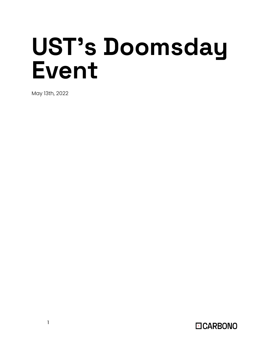# **UST's Doomsday Event**

May 13th, 2022

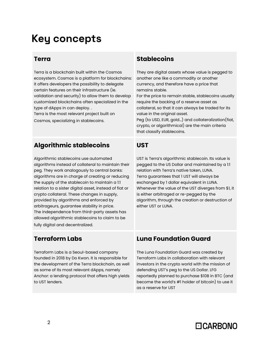# **Key concepts**

### **Terra**

Terra is a blockchain built within the Cosmos ecosystem. Cosmos is a platform for blockchains: it offers developers the possibility to delegate certain features on their infrastructure (ie. validation and security) to allow them to develop customized blockchains often specialized in the type of dApps in can deploy. .

Terra is the most relevant project built on Cosmos, specializing in stablecoins.

### **Algorithmic stablecoins**

Algorithmic stablecoins use automated algorithms instead of collateral to maintain their peg. They work analogously to central banks: algorithms are in charge of creating or reducing the supply of the stablecoin to maintain a 1:1 relation to a sister digital asset, instead of fiat or crypto collateral. These changes in supply, provided by algorithms and enforced by arbitrageurs, guarantee stability in price. The independence from third-party assets has allowed algorithmic stablecoins to claim to be fully digital and decentralized.

### **Stablecoins**

They are digital assets whose value is pegged to another one like a commodity or another currency, and therefore have a price that remains stable.

For the price to remain stable, stablecoins usually require the backing of a reserve asset as collateral, so that it can always be traded for its value in the original asset.

Peg (to USD, EUR, gold…) and collateralization(fiat, crypto, or algorithmical) are the main criteria that classify stablecoins.

#### **UST**

UST is Terra's algorithmic stablecoin. Its value is pegged to the US Dollar and maintained by a 1:1 relation with Terra's native token, LUNA. Terra guarantees that 1 UST will always be exchanged by 1 dollar equivalent in LUNA. Whenever the value of the UST diverges from \$1, it is either arbitraged or re-pegged by the algorithm, through the creation or destruction of either UST or LUNA.

### **Terraform Labs**

Terraform Labs is a Seoul-based company founded in 2018 by Do Kwon. It is responsible for the development of the Terra blockchain, as well as some of its most relevant dApps, namely Anchor: a lending protocol that offers high yields to UST lenders.

### **Luna Foundation Guard**

The Luna Foundation Guard was created by Terraform Labs in collaboration with relevant investors in the crypto world with the mission of defending UST's peg to the US Dollar. LFG reportedly planned to purchase \$10B in BTC (and become the world's #1 holder of bitcoin) to use it as a reserve for UST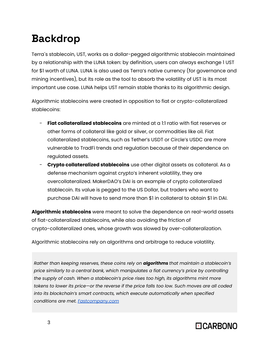# **Backdrop**

Terra´s stablecoin, UST, works as a dollar-pegged algorithmic stablecoin maintained by a relationship with the LUNA token: by definition, users can always exchange 1 UST for \$1 worth of LUNA. LUNA is also used as Terra's native currency (for governance and mining incentives), but its role as the tool to absorb the volatility of UST is its most important use case. LUNA helps UST remain stable thanks to its algorithmic design.

Algorithmic stablecoins were created in opposition to fiat or crypto-collateralized stablecoins:

- **Fiat collateralized stablecoins** are minted at a 1:1 ratio with fiat reserves or other forms of collateral like gold or silver, or commodities like oil. Fiat collateralized stablecoins, such as Tether's USDT or Circle's USDC are more vulnerable to TradFi trends and regulation because of their dependence on regulated assets.
- **Crypto collateralized stablecoins** use other digital assets as collateral. As a defense mechanism against crypto's inherent volatility, they are overcollateralized. MakerDAO's DAI is an example of crypto collateralized stablecoin. Its value is pegged to the US Dollar, but traders who want to purchase DAI will have to send more than \$1 in collateral to obtain \$1 in DAI.

**Algorithmic stablecoins** were meant to solve the dependence on real-world assets of fiat-collateralized stablecoins, while also avoiding the friction of crypto-collateralized ones, whose growth was slowed by over-collateralization.

Algorithmic stablecoins rely on algorithms and arbitrage to reduce volatility.

*Rather than keeping reserves, these coins rely on algorithms that maintain a stablecoin's price similarly to a central bank, which manipulates a fiat currency's price by controlling the supply of cash. When a stablecoin's price rises too high, its algorithms mint more tokens to lower its price—or the reverse if the price falls too low. Such moves are all coded into its blockchain's smart contracts, which execute automatically when specified conditions are met. [Fastcompany.com](https://www.fastcompany.com/90750443/as-crypto-crashes-terra-usd-wobbles-shaking-the-foundations-of-algorithmic-stablecoins)*

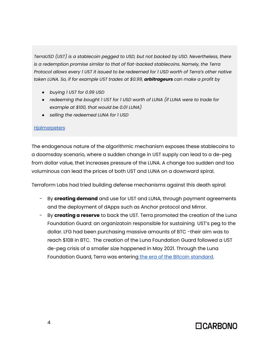*TerraUSD (UST) is a stablecoin pegged to USD, but not backed by USD. Nevertheless, there is a redemption promise similar to that of fiat-backed stablecoins. Namely, the Terra Protocol allows every 1 UST it issued to be redeemed for 1 USD worth of Terra's other native token LUNA. So, if for example UST trades at \$0.99, arbitrageurs can make a profit by*

- *● buying 1 UST for 0.99 USD*
- *● redeeming the bought 1 UST for 1 USD worth of LUNA (if LUNA were to trade for example at \$100, that would be 0.01 LUNA)*
- *● selling the redeemed LUNA for 1 USD*

#### **[Hjalmarpeters](https://hjalmarpeters.medium.com/why-i-am-betting-against-terrausd-2bc0f5668997)**

The endogenous nature of the algorithmic mechanism exposes these stablecoins to a doomsday scenario, where a sudden change in UST supply can lead to a de-peg from dollar value, thet increases pressure of the LUNA. A change too sudden and too voluminous can lead the prices of both UST and LUNA on a downward spiral.

Terraform Labs had tried building defense mechanisms against this death spiral:

- By **creating demand** and use for UST and LUNA, through payment agreements and the deployment of dApps such as Anchor protocol and Mirror.
- By **creating a reserve** to back the UST. Terra promoted the creation of the Luna Foundation Guard: an organizatoin responsible for sustaining UST's peg to the dollar. LFG had been purchasing massive amounts of BTC -their aim was to reach \$10B in BTC. The creation of the Luna Foundation Guard followed a UST de-peg crisis of a smaller size happened in May 2021. Through the Luna Foundation Guard, Terra was entering the era of the Bitcoin [standard](https://twitter.com/stablekwon/status/1503296630396645376).

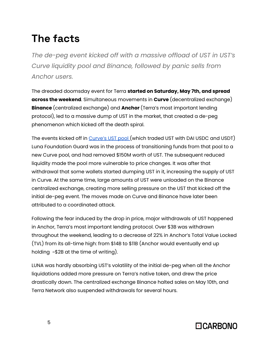# **The facts**

*The de-peg event kicked off with a massive offload of UST in UST's Curve liquidity pool and Binance, followed by panic sells from Anchor users.*

The dreaded doomsday event for Terra **started on Saturday, May 7th, and spread across the weekend**. Simultaneous movements in **Curve** (decentralized exchange) **Binance** (centralized exchange) and **Anchor** (Terra's most important lending protocol), led to a massive dump of UST in the market, that created a de-peg phenomenon which kicked off the death spiral.

The events kicked off in [Curve's](https://curve.fi/factory/53) UST pool (which traded UST with DAI USDC and USDT) Luna Foundation Guard was in the process of transitioning funds from that pool to a new Curve pool, and had removed \$150M worth of UST. The subsequent reduced liquidity made the pool more vulnerable to price changes. It was after that withdrawal that some wallets started dumping UST in it, increasing the supply of UST in Curve. At the same time, large amounts of UST were unloaded on the Binance centralized exchange, creating more selling pressure on the UST that kicked off the initial de-peg event. The moves made on Curve and Binance have later been attributed to a coordinated attack.

Following the fear induced by the drop in price, major withdrawals of UST happened in Anchor, Terra's most important lending protocol. Over \$3B was withdrawn throughout the weekend, leading to a decrease of 22% in Anchor's Total Value Locked (TVL) from its all-time high: from \$14B to \$11B (Anchor would eventually end up holding ~\$2B at the time of writing).

LUNA was hardly absorbing UST's volatility of the initial de-peg when all the Anchor liquidations added more pressure on Terra's native token, and drew the price drastically down. The centralized exchange Binance halted sales on May 10th, and Terra Network also suspended withdrawals for several hours.

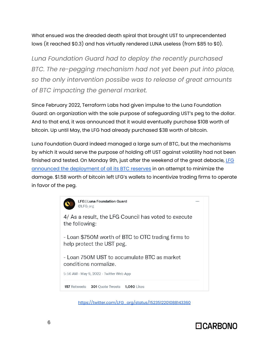What ensued was the dreaded death spiral that brought UST to unprecendented lows (it reached \$0.3) and has virtually rendered LUNA useless (from \$85 to \$0).

*Luna Foundation Guard had to deploy the recently purchased BTC. The re-pegging mechanism had not yet been put into place, so the only intervention possibe was to release of great amounts of BTC impacting the general market.*

Since February 2022, Terraform Labs had given impulse to the Luna Foundation Guard: an organization with the sole purpose of safeguarding UST's peg to the dollar. And to that end, it was announced that it would eventually purchase \$10B worth of bitcoin. Up until May, the LFG had already purchased \$3B worth of bitcoin.

Luna Foundation Guard indeed managed a large sum of BTC, but the mechanisms by which it would serve the purpose of holding off UST against volatility had not been finished and tested. On Monday 9th, just after the weekend of the great debacle, [LFG](https://twitter.com/LFG_org/status/1523512196965167104) announced the [deployment](https://twitter.com/LFG_org/status/1523512196965167104) of all its BTC reserves in an attempt to minimize the damage. \$1.5B worth of bitcoin left LFG's wallets to incentivize trading firms to operate in favor of the peg.



[https://twitter.com/LFG\\_org/status/1523512201088143360](https://twitter.com/LFG_org/status/1523512201088143360)

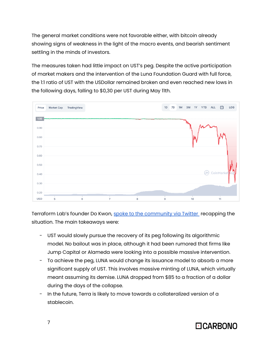The general market conditions were not favorable either, with bitcoin already showing signs of weakness in the light of the macro events, and bearish sentiment settling in the minds of investors.

The measures taken had little impact on UST's peg. Despite the active participation of market makers and the intervention of the Luna Foundation Guard with full force, the 1:1 ratio of UST with the USDollar remained broken and even reached new lows in the following days, falling to \$0,30 per UST during May 11th.



Terraform Lab's founder Do Kwon, spoke to the [community](https://twitter.com/stablekwon/status/1524331171189956609?t=DB_buU5XUKFkPuemc-KHyw&s=19) via Twitter recapping the situation. The main takeaways were:

- UST would slowly pursue the recovery of its peg following its algorithmic model. No bailout was in place, although it had been rumored that firms like Jump Capital or Alameda were looking into a possible massive intervention.
- To achieve the peg, LUNA would change its issuance model to absorb a more significant supply of UST. This involves massive minting of LUNA, which virtually meant assuming its demise. LUNA dropped from \$85 to a fraction of a dollar during the days of the collapse.
- In the future, Terra is likely to move towards a collateralized version of a stablecoin.

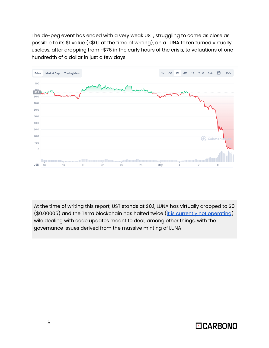The de-peg event has ended with a very weak UST, struggling to come as close as possible to its \$1 value (<\$0.1 at the time of writing), an a LUNA token turned virtually useless, after dropping from ~\$76 in the early hours of the crisis, to valuations of one hundredth of a dollar in just a few days.



At the time of writing this report, UST stands at \$0,1, LUNA has virtually dropped to \$0 (\$0.00005) and the Terra blockchain has halted twice (it is currently not [operating](https://twitter.com/terra_money/status/1524935730308456448)) wile dealing with code updates meant to deal, among other things, with the governance issues derived from the massive minting of LUNA

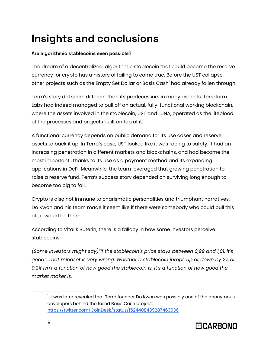# **Insights and conclusions**

#### **Are algorithmic stablecoins even possible?**

The dream of a decentralized, algorithmic stablecoin that could become the reserve currency for crypto has a history of failing to come true. Before the UST collapse, other projects such as the Empty Set Dollar or Basis Cash<sup>1</sup> had already fallen through.

Terra's story did seem different than its predecessors in many aspects. Terraform Labs had indeed managed to pull off an actual, fully-functional working blockchain, where the assets involved in the stablecoin, UST and LUNA, operated as the lifeblood of the processes and projects built on top of it.

A functional currency depends on public demand for its use cases and reserve assets to back it up. In Terra's case, UST looked like it was racing to safety. It had an increasing penetration in different markets and blockchains, and had become the most important , thanks to its use as a payment method and its expanding applications in DeFi. Meanwhile, the team leveraged that growing penetration to raise a reserve fund. Terra's success story depended on surviving long enough to become too big to fail.

Crypto is also not immune to charismatic personalities and triumphant narratives. Do Kwon and his team made it seem like if there were somebody who could pull this off, it would be them.

According to Vitalik Buterin, there is a fallacy in how some investors perceive stablecoins.

*(Some investors might say)"If the stablecoin's price stays between 0,99 and 1,01, it's good". That mindset is very wrong. Whether a stablecoin jumps up or down by 2% or 0.2% isn't a function of how good the stablecoin is, it's a function of how good the market maker is.*

 $^{\rm I}$  It was later revealed that Terra founder Do Kwon was possibly one of the anonymous developers behind the failed Basis Cash project: <https://twitter.com/CoinDesk/status/1524408439287463936>

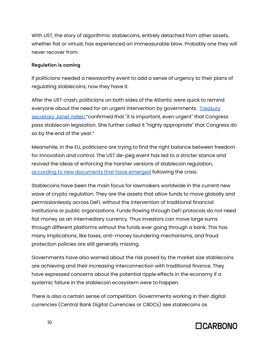With UST, the story of algorithmic stablecoins, entirely detached from other assets, whether fiat or virtual, has experienced an immeasurable blow. Probably one they will never recover from.

#### **Regulation is coming**

If politicians needed a newsworthy event to add a sense of urgency to their plans of regulating stablecoins, now they have it.

After the UST crash, politicians on both sides of the Atlantic were quick to remind everyone about the need for an urgent intervention by governments. [Treasury](https://www.theblockcrypto.com/linked/146048/us-treasury-secretary-yellen-points-to-ust-slip-asks-for-new-stablecoin-legislation-by-the-end-of-2022) [secretary](https://www.theblockcrypto.com/linked/146048/us-treasury-secretary-yellen-points-to-ust-slip-asks-for-new-stablecoin-legislation-by-the-end-of-2022) Janet Yellen "confirmed that "it is important, even urgent" that Congress pass stablecoin legislation. She further called it "highly appropriate" that Congress do so by the end of the year."

Meanwhile, in the EU, politicians are trying to find the right balance between freedom for innovation and control. The UST de-peg event has led to a stricter stance and revived the ideas of enforcing the harsher versions of stablecoin regulation, according to new [documents](https://www.coindesk.com/policy/2022/05/11/eu-commission-favors-ban-on-large-scale-stablecoins-document-shows/) that have emerged following the crisis.

Stablecoins have been the main focus for lawmakers worldwide in the current new wave of crypto regulation. They are the assets that allow funds to move globally and permissionlessly across DeFi, without the intervention of traditional financial institutions or public organizations. Funds flowing through DeFi protocols do not need fiat money as an intermediary currency. Thus investors can move large sums through different platforms without the funds ever going through a bank. This has many implications, like taxes, anti-money laundering mechanisms, and fraud protection policies are still generally missing.

Governments have also warned about the risk posed by the market size stablecoins are achieving and their increasing interconnection with traditional finance. They have expressed concerns about the potential ripple effects in the economy if a systemic failure in the stablecoin ecosystem were to happen.

There is also a certain sense of competition. Governments working in their digital currencies (Central Bank Digital Currencies or CBDCs) see stablecoins as

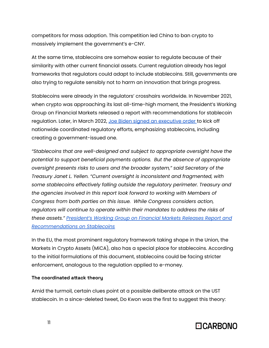competitors for mass adoption. This competition led China to ban crypto to massively implement the government's e-CNY.

At the same time, stablecoins are somehow easier to regulate because of their similarity with other current financial assets. Current regulation already has legal frameworks that regulators could adapt to include stablecoins. Still, governments are also trying to regulate sensibly not to harm an innovation that brings progress.

Stablecoins were already in the regulators' crosshairs worldwide. In November 2021, when crypto was approaching its last all-time-high moment, the President's Working Group on Financial Markets released a report with recommendations for stablecoin regulation. Later, in March 2022, Joe Biden signed an [executive](https://www.computerworld.com/article/3653328/biden-issues-executive-order-on-crypto-regulation-stablecoin-proposal.html) order to kick off nationwide coordinated regulatory efforts, emphasizing stablecoins, including creating a government-issued one.

*"Stablecoins that are well-designed and subject to appropriate oversight have the potential to support beneficial payments options. But the absence of appropriate oversight presents risks to users and the broader system," said Secretary of the Treasury Janet L. Yellen. "Current oversight is inconsistent and fragmented, with some stablecoins effectively falling outside the regulatory perimeter. Treasury and the agencies involved in this report look forward to working with Members of Congress from both parties on this issue. While Congress considers action, regulators will continue to operate within their mandates to address the risks of these assets." [President's](https://home.treasury.gov/news/press-releases/jy0454) Working Group on Financial Markets Releases Report and [Recommendations](https://home.treasury.gov/news/press-releases/jy0454) on Stablecoins*

In the EU, the most prominent regulatory framework taking shape in the Union, the Markets in Crypto Assets (MiCA), also has a special place for stablecoins. According to the initial formulations of this document, stablecoins could be facing stricter enforcement, analogous to the regulation applied to e-money.

#### **The coordinated attack theory**

Amid the turmoil, certain clues point at a possible deliberate attack on the UST stablecoin. In a since-deleted tweet, Do Kwon was the first to suggest this theory:

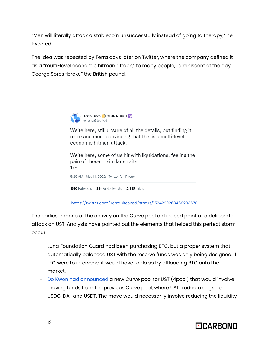"Men will literally attack a stablecoin unsuccessfully instead of going to therapy," he tweeted.

The idea was repeated by Terra days later on Twitter, where the company defined it as a "multi-level economic hitman attack," to many people, reminiscent of the day George Soros "broke" the British pound.



We're here, still unsure of all the details, but finding it more and more convincing that this is a multi-level economic hitman attack.

We're here, some of us hit with liquidations, feeling the pain of those in similar straits.  $1/5$ 5:25 AM · May 11, 2022 · Twitter for iPhone

556 Retweets 89 Quote Tweets 2,987 Likes

<https://twitter.com/TerraBitesPod/status/1524229263469293570>

The earliest reports of the activity on the Curve pool did indeed point at a deliberate attack on UST. Analysts have pointed out the elements that helped this perfect storm occur:

- Luna Foundation Guard had been purchasing BTC, but a proper system that automatically balanced UST with the reserve funds was only being designed. If LFG were to intervene, it would have to do so by offloading BTC onto the market.
- Do Kwon had [announced](https://twitter.com/stablekwon/status/1510021707377287170) a new Curve pool for UST (4pool) that would involve moving funds from the previous Curve pool, where UST traded alongside USDC, DAI, and USDT. The move would necessarily involve reducing the liquidity



 $\ddotsc$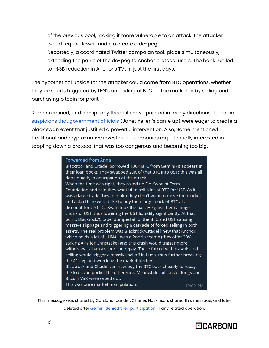of the previous pool, making it more vulnerable to an attack: the attacker would require fewer funds to create a de-peg.

Reportedly, a coordinated Twitter campaign took place simultaneously, extending the panic of the de-peg to Anchor protocol users. The bank run led to ~\$3B reduction in Anchor's TVL in just the first days.

The hypothetical upside for the attacker could come from BTC operations, whether they be shorts triggered by LFG's unloading of BTC on the market or by selling and purchasing bitcoin for profit.

Rumors ensued, and conspiracy theorists have pointed in many directions. There are suspicions that [government](https://twitter.com/AutismCapital/status/1524036699906473985) officials (Janet Yellen's came up) were eager to create a black swan event that justified a powerful intervention. Also, Some mentioned traditional and crypto-native investment companies as potentially interested in toppling down a protocol that was too dangerous and becoming too big.

#### **Forwarded from Anna**

Blackrock and Citadel borrowed 100K BTC from Gemini (it appears in their loan book). They swapped 25K of that BTC into UST; this was all done quietly in anticipation of the attack. When the time was right, they called up Do Kwon at Terra Foundation and said they wanted to sell a lot of BTC for UST. As it was a large trade they told him they didn't want to move the market and asked if he would like to buy their large block of BTC at a discount for UST. Do Kwan took the bait. He gave them a huge chunk of UST, thus lowering the UST liquidity significantly. At that point, Blackrock/Citadel dumped all of the BTC and UST causing massive slippage and triggering a cascade of forced selling in both assets. The real problem was Blackrock/Citadel knew that Anchor, which holds a lot of LUNA, was a Ponzi scheme (they offer 20% staking APY for Christsake) and this crash would trigger more withdrawals than Anchor can repay. These forced withdrawals and selling would trigger a massive selloff in Luna, thus further breaking the \$1 peg and wrecking the market further. Blackrock and Citadel can now buy the BTC back cheaply to repay the loan and pocket the difference. Meanwhile, billions of longs and Bitcoin VaR were wiped out. This was pure market manipulation. 12:02 PM

This message was shared by Cardano founder, Charles Hoskinson, shared this message, and later

deleted after Gemini denied their [participation](https://twitter.com/Gemini/status/1524428615844339718) in any related operation.

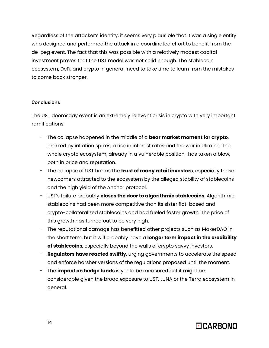Regardless of the attacker's identity, it seems very plausible that it was a single entity who designed and performed the attack in a coordinated effort to benefit from the de-peg event. The fact that this was possible with a relatively modest capital investment proves that the UST model was not solid enough. The stablecoin ecosystem, DeFi, and crypto in general, need to take time to learn from the mistakes to come back stronger.

#### **Conclusions**

The UST doomsday event is an extremely relevant crisis in crypto with very important ramifications:

- The collapse happened in the middle of a **bear market moment for crypto**, marked by inflation spikes, a rise in interest rates and the war in Ukraine. The whole crypto ecosystem, already in a vulnerable position, has taken a blow, both in price and reputation.
- The collapse of UST harms the **trust of many retail investors**, especially those newcomers attracted to the ecosystem by the alleged stability of stablecoins and the high yield of the Anchor protocol.
- UST's failure probably **closes the door to algorithmic stablecoins**. Algorithmic stablecoins had been more competitive than its sister fiat-based and crypto-collateralized stablecoins and had fueled faster growth. The price of this growth has turned out to be very high.
- The reputational damage has benefitted other projects such as MakerDAO in the short term, but it will probably have a **longer term impact in the credibility of stablecoins**, especially beyond the walls of crypto savvy investors.
- **Regulators have reacted swiftly**, urging governments to accelerate the speed and enforce harsher versions of the regulations proposed until the moment.
- The **impact on hedge funds** is yet to be measured but it might be considerable given the broad exposure to UST, LUNA or the Terra ecosystem in general.